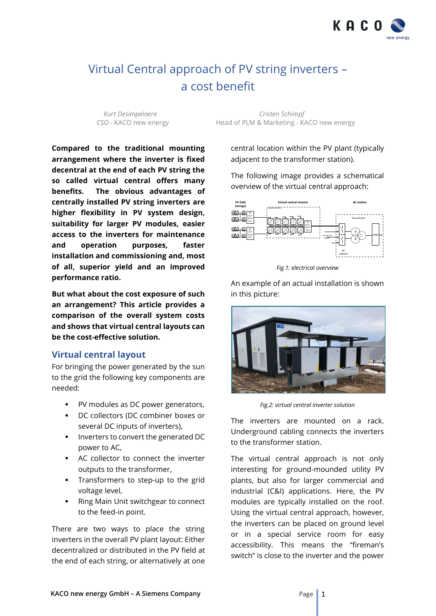

# Virtual Central approach of PV string inverters – a cost benefit

*Kurt Desimpelaere Cristen Schimpf CSO -* KACO new energy Head of PLM & Marketing - KACO new energy

**Compared to the traditional mounting arrangement where the inverter is fixed decentral at the end of each PV string the so called virtual central offers many benefits. The obvious advantages of centrally installed PV string inverters are higher flexibility in PV system design, suitability for larger PV modules, easier access to the inverters for maintenance and operation purposes, faster installation and commissioning and, most of all, superior yield and an improved performance ratio.**

**But what about the cost exposure of such an arrangement? This article provides a comparison of the overall system costs and shows that virtual central layouts can be the cost-effective solution.**

## **Virtual central layout**

For bringing the power generated by the sun to the grid the following key components are needed:

- PV modules as DC power generators,
- DC collectors (DC combiner boxes or several DC inputs of inverters),
- Inverters to convert the generated DC power to AC,
- AC collector to connect the inverter outputs to the transformer,
- **•** Transformers to step-up to the grid voltage level,
- Ring Main Unit switchgear to connect to the feed-in point.

There are two ways to place the string inverters in the overall PV plant layout: Either decentralized or distributed in the PV field at the end of each string, or alternatively at one

central location within the PV plant (typically adjacent to the transformer station).

The following image provides a schematical overview of the virtual central approach:



*Fig.1: electrical overview*

An example of an actual installation is shown in this picture:



*Fig.2: virtual central inverter solution*

The inverters are mounted on a rack. Underground cabling connects the inverters to the transformer station.

The virtual central approach is not only interesting for ground-mounded utility PV plants, but also for larger commercial and industrial (C&I) applications. Here, the PV modules are typically installed on the roof. Using the virtual central approach, however, the inverters can be placed on ground level or in a special service room for easy accessibility. This means the "fireman's switch" is close to the inverter and the power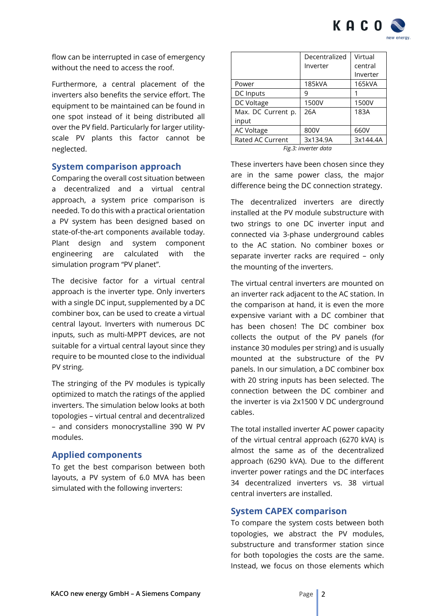

flow can be interrupted in case of emergency without the need to access the roof.

Furthermore, a central placement of the inverters also benefits the service effort. The equipment to be maintained can be found in one spot instead of it being distributed all over the PV field. Particularly for larger utilityscale PV plants this factor cannot be neglected.

## **System comparison approach**

Comparing the overall cost situation between a decentralized and a virtual central approach, a system price comparison is needed. To do this with a practical orientation a PV system has been designed based on state-of-the-art components available today. Plant design and system component engineering are calculated with the simulation program "PV planet".

The decisive factor for a virtual central approach is the inverter type. Only inverters with a single DC input, supplemented by a DC combiner box, can be used to create a virtual central layout. Inverters with numerous DC inputs, such as multi-MPPT devices, are not suitable for a virtual central layout since they require to be mounted close to the individual PV string.

The stringing of the PV modules is typically optimized to match the ratings of the applied inverters. The simulation below looks at both topologies – virtual central and decentralized – and considers monocrystalline 390 W PV modules.

## **Applied components**

To get the best comparison between both layouts, a PV system of 6.0 MVA has been simulated with the following inverters:

|                                         | Decentralized | Virtual  |  |
|-----------------------------------------|---------------|----------|--|
|                                         | Inverter      | central  |  |
|                                         |               | Inverter |  |
| Power                                   | <b>185kVA</b> | 165kVA   |  |
| DC Inputs                               | 9             |          |  |
| DC Voltage                              | 1500V         | 1500V    |  |
| Max. DC Current p.                      | 26A           | 183A     |  |
| input                                   |               |          |  |
| <b>AC Voltage</b>                       | 800V          | 660V     |  |
| Rated AC Current                        | 3x134.9A      | 3x144.4A |  |
| $\Gamma$ im $\Omega$ i imperator sloven |               |          |  |

*Fig.3: inverter data*

These inverters have been chosen since they are in the same power class, the major difference being the DC connection strategy.

The decentralized inverters are directly installed at the PV module substructure with two strings to one DC inverter input and connected via 3-phase underground cables to the AC station. No combiner boxes or separate inverter racks are required - only the mounting of the inverters.

The virtual central inverters are mounted on an inverter rack adjacent to the AC station. In the comparison at hand, it is even the more expensive variant with a DC combiner that has been chosen! The DC combiner box collects the output of the PV panels (for instance 30 modules per string) and is usually mounted at the substructure of the PV panels. In our simulation, a DC combiner box with 20 string inputs has been selected. The connection between the DC combiner and the inverter is via 2x1500 V DC underground cables.

The total installed inverter AC power capacity of the virtual central approach (6270 kVA) is almost the same as of the decentralized approach (6290 kVA). Due to the different inverter power ratings and the DC interfaces 34 decentralized inverters vs. 38 virtual central inverters are installed.

## **System CAPEX comparison**

To compare the system costs between both topologies, we abstract the PV modules, substructure and transformer station since for both topologies the costs are the same. Instead, we focus on those elements which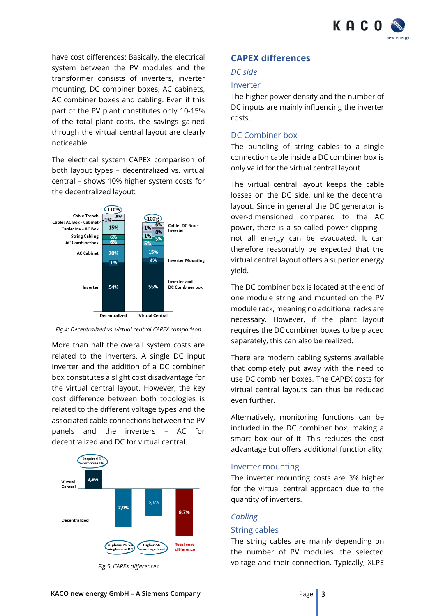

have cost differences: Basically, the electrical system between the PV modules and the transformer consists of inverters, inverter mounting, DC combiner boxes, AC cabinets, AC combiner boxes and cabling. Even if this part of the PV plant constitutes only 10-15% of the total plant costs, the savings gained through the virtual central layout are clearly noticeable.

The electrical system CAPEX comparison of both layout types – decentralized vs. virtual central – shows 10% higher system costs for the decentralized layout:



*Fig.4: Decentralized vs. virtual central CAPEX comparison*

More than half the overall system costs are related to the inverters. A single DC input inverter and the addition of a DC combiner box constitutes a slight cost disadvantage for the virtual central layout. However, the key cost difference between both topologies is related to the different voltage types and the associated cable connections between the PV panels and the inverters – AC for decentralized and DC for virtual central.



*Fig.5: CAPEX differences*

## **CAPEX differences**

### *DC side*

#### Inverter

The higher power density and the number of DC inputs are mainly influencing the inverter costs.

## DC Combiner box

The bundling of string cables to a single connection cable inside a DC combiner box is only valid for the virtual central layout.

The virtual central layout keeps the cable losses on the DC side, unlike the decentral layout. Since in general the DC generator is over-dimensioned compared to the AC power, there is a so-called power clipping – not all energy can be evacuated. It can therefore reasonably be expected that the virtual central layout offers a superior energy yield.

The DC combiner box is located at the end of one module string and mounted on the PV module rack, meaning no additional racks are necessary. However, if the plant layout requires the DC combiner boxes to be placed separately, this can also be realized.

There are modern cabling systems available that completely put away with the need to use DC combiner boxes. The CAPEX costs for virtual central layouts can thus be reduced even further.

Alternatively, monitoring functions can be included in the DC combiner box, making a smart box out of it. This reduces the cost advantage but offers additional functionality.

#### Inverter mounting

The inverter mounting costs are 3% higher for the virtual central approach due to the quantity of inverters.

#### *Cabling*

#### String cables

The string cables are mainly depending on the number of PV modules, the selected voltage and their connection. Typically, XLPE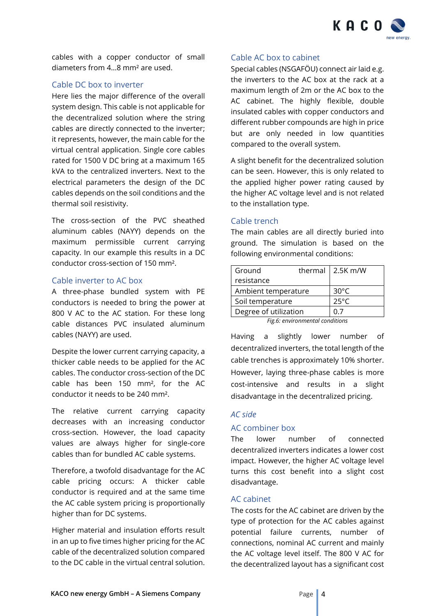

cables with a copper conductor of small diameters from 4…8 mm² are used.

## Cable DC box to inverter

Here lies the major difference of the overall system design. This cable is not applicable for the decentralized solution where the string cables are directly connected to the inverter; it represents, however, the main cable for the virtual central application. Single core cables rated for 1500 V DC bring at a maximum 165 kVA to the centralized inverters. Next to the electrical parameters the design of the DC cables depends on the soil conditions and the thermal soil resistivity.

The cross-section of the PVC sheathed aluminum cables (NAYY) depends on the maximum permissible current carrying capacity. In our example this results in a DC conductor cross-section of 150 mm².

#### Cable inverter to AC box

A three-phase bundled system with PE conductors is needed to bring the power at 800 V AC to the AC station. For these long cable distances PVC insulated aluminum cables (NAYY) are used.

Despite the lower current carrying capacity, a thicker cable needs to be applied for the AC cables. The conductor cross-section of the DC cable has been 150 mm², for the AC conductor it needs to be 240 mm².

The relative current carrying capacity decreases with an increasing conductor cross-section. However, the load capacity values are always higher for single-core cables than for bundled AC cable systems.

Therefore, a twofold disadvantage for the AC cable pricing occurs: A thicker cable conductor is required and at the same time the AC cable system pricing is proportionally higher than for DC systems.

Higher material and insulation efforts result in an up to five times higher pricing for the AC cable of the decentralized solution compared to the DC cable in the virtual central solution.

#### Cable AC box to cabinet

Special cables (NSGAFÖU) connect air laid e.g. the inverters to the AC box at the rack at a maximum length of 2m or the AC box to the AC cabinet. The highly flexible, double insulated cables with copper conductors and different rubber compounds are high in price but are only needed in low quantities compared to the overall system.

A slight benefit for the decentralized solution can be seen. However, this is only related to the applied higher power rating caused by the higher AC voltage level and is not related to the installation type.

## Cable trench

The main cables are all directly buried into ground. The simulation is based on the following environmental conditions:

| Ground                             |  | thermal   2.5K m/W |
|------------------------------------|--|--------------------|
| resistance                         |  |                    |
| Ambient temperature                |  | $30^{\circ}$ C     |
| Soil temperature                   |  | $25^{\circ}C$      |
| Degree of utilization              |  | 0.7                |
| $E$ ia 6: environmental conditions |  |                    |

*Fig.6: environmental conditions*

Having a slightly lower number of decentralized inverters, the total length of the cable trenches is approximately 10% shorter. However, laying three-phase cables is more cost-intensive and results in a slight disadvantage in the decentralized pricing.

#### *AC side*

## AC combiner box

The lower number of connected decentralized inverters indicates a lower cost impact. However, the higher AC voltage level turns this cost benefit into a slight cost disadvantage.

## AC cabinet

The costs for the AC cabinet are driven by the type of protection for the AC cables against potential failure currents, number of connections, nominal AC current and mainly the AC voltage level itself. The 800 V AC for the decentralized layout has a significant cost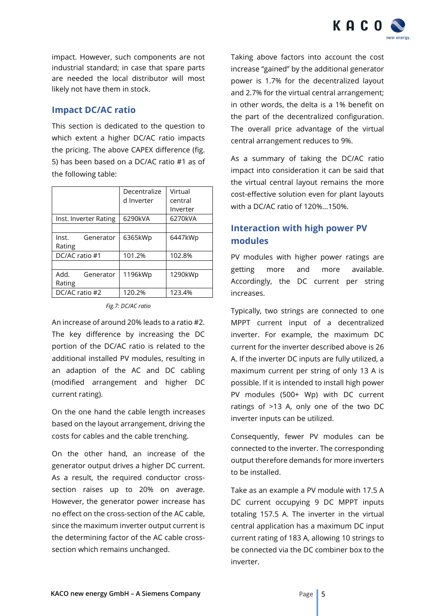

impact. However, such components are not industrial standard; in case that spare parts are needed the local distributor will most likely not have them in stock.

## **Impact DC/AC ratio**

This section is dedicated to the question to which extent a higher DC/AC ratio impacts the pricing. The above CAPEX difference (fig. 5) has been based on a DC/AC ratio #1 as of the following table:

|                       | Decentralize | Virtual  |
|-----------------------|--------------|----------|
|                       | d Inverter   | central  |
|                       |              | Inverter |
| Inst. Inverter Rating | 6290kVA      | 6270kVA  |
|                       |              |          |
| Inst.<br>Generator    | 6365kWp      | 6447kWp  |
| Rating                |              |          |
| DC/AC ratio #1        | 101.2%       | 102.8%   |
|                       |              |          |
| Add.<br>Generator     | 1196kWp      | 1290kWp  |
| Rating                |              |          |
| DC/AC ratio #2        | 120.2%       | 123.4%   |

*Fig.7: DC/AC ratio*

An increase of around 20% leads to a ratio #2. The key difference by increasing the DC portion of the DC/AC ratio is related to the additional installed PV modules, resulting in an adaption of the AC and DC cabling (modified arrangement and higher DC current rating).

On the one hand the cable length increases based on the layout arrangement, driving the costs for cables and the cable trenching.

On the other hand, an increase of the generator output drives a higher DC current. As a result, the required conductor crosssection raises up to 20% on average. However, the generator power increase has no effect on the cross-section of the AC cable, since the maximum inverter output current is the determining factor of the AC cable crosssection which remains unchanged.

Taking above factors into account the cost increase "gained" by the additional generator power is 1.7% for the decentralized layout and 2.7% for the virtual central arrangement; in other words, the delta is a 1% benefit on the part of the decentralized configuration. The overall price advantage of the virtual central arrangement reduces to 9%.

As a summary of taking the DC/AC ratio impact into consideration it can be said that the virtual central layout remains the more cost-effective solution even for plant layouts with a DC/AC ratio of 120%…150%.

## **Interaction with high power PV modules**

PV modules with higher power ratings are getting more and more available. Accordingly, the DC current per string increases.

Typically, two strings are connected to one MPPT current input of a decentralized inverter. For example, the maximum DC current for the inverter described above is 26 A. If the inverter DC inputs are fully utilized, a maximum current per string of only 13 A is possible. If it is intended to install high power PV modules (500+ Wp) with DC current ratings of >13 A, only one of the two DC inverter inputs can be utilized.

Consequently, fewer PV modules can be connected to the inverter. The corresponding output therefore demands for more inverters to be installed.

Take as an example a PV module with 17.5 A DC current occupying 9 DC MPPT inputs totaling 157.5 A. The inverter in the virtual central application has a maximum DC input current rating of 183 A, allowing 10 strings to be connected via the DC combiner box to the inverter.